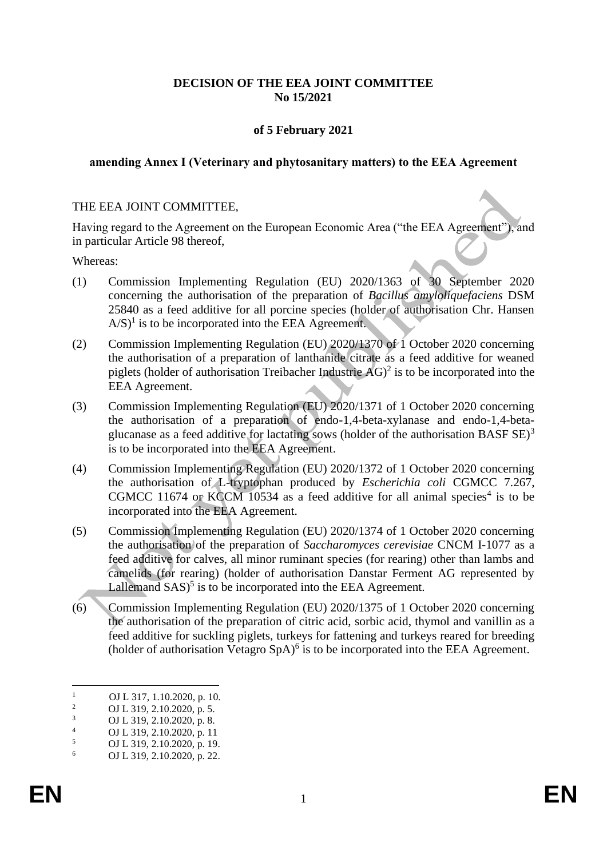## **DECISION OF THE EEA JOINT COMMITTEE No 15/2021**

# **of 5 February 2021**

#### **amending Annex I (Veterinary and phytosanitary matters) to the EEA Agreement**

#### THE EEA JOINT COMMITTEE,

Having regard to the Agreement on the European Economic Area ("the EEA Agreement"), and in particular Article 98 thereof,

Whereas:

- (1) Commission Implementing Regulation (EU) 2020/1363 of 30 September 2020 concerning the authorisation of the preparation of *Bacillus amyloliquefaciens* DSM 25840 as a feed additive for all porcine species (holder of authorisation Chr. Hansen  $A/S$ <sup>1</sup> is to be incorporated into the EEA Agreement.
- (2) Commission Implementing Regulation (EU) 2020/1370 of 1 October 2020 concerning the authorisation of a preparation of lanthanide citrate as a feed additive for weaned piglets (holder of authorisation Treibacher Industrie  $AG$ )<sup>2</sup> is to be incorporated into the EEA Agreement.
- (3) Commission Implementing Regulation (EU) 2020/1371 of 1 October 2020 concerning the authorisation of a preparation of endo-1,4-beta-xylanase and endo-1,4-betaglucanase as a feed additive for lactating sows (holder of the authorisation BASF  $SE$ )<sup>3</sup> is to be incorporated into the EEA Agreement.
- (4) Commission Implementing Regulation (EU) 2020/1372 of 1 October 2020 concerning the authorisation of L-tryptophan produced by *Escherichia coli* CGMCC 7.267, CGMCC 11674 or KCCM 10534 as a feed additive for all animal species<sup>4</sup> is to be incorporated into the EEA Agreement.
- (5) Commission Implementing Regulation (EU) 2020/1374 of 1 October 2020 concerning the authorisation of the preparation of *Saccharomyces cerevisiae* CNCM I-1077 as a feed additive for calves, all minor ruminant species (for rearing) other than lambs and camelids (for rearing) (holder of authorisation Danstar Ferment AG represented by Lallemand  $SAS$ <sup>5</sup> is to be incorporated into the EEA Agreement.
- (6) Commission Implementing Regulation (EU) 2020/1375 of 1 October 2020 concerning the authorisation of the preparation of citric acid, sorbic acid, thymol and vanillin as a feed additive for suckling piglets, turkeys for fattening and turkeys reared for breeding (holder of authorisation Vetagro  $SpA$ <sup>6</sup> is to be incorporated into the EEA Agreement.

 $\frac{1}{2}$  OJ L 317, 1.10.2020, p. 10.

<sup>&</sup>lt;sup>2</sup> OJ L 319, 2.10.2020, p. 5.<br><sup>3</sup> OJ L 210, 2.10.2020, p. 8.

 $\frac{3}{4}$  OJ L 319, 2.10.2020, p. 8.

 $^{4}$  OJ L 319, 2.10.2020, p. 11

 $\frac{5}{6}$  OJ L 319, 2.10.2020, p. 19.

<sup>6</sup> OJ L 319, 2.10.2020, p. 22.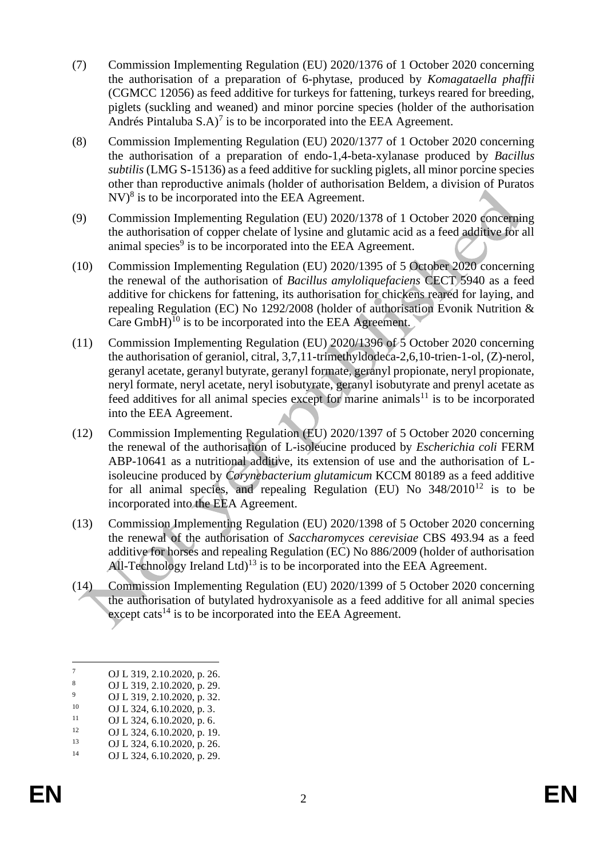- (7) Commission Implementing Regulation (EU) 2020/1376 of 1 October 2020 concerning the authorisation of a preparation of 6-phytase, produced by *Komagataella phaffii* (CGMCC 12056) as feed additive for turkeys for fattening, turkeys reared for breeding, piglets (suckling and weaned) and minor porcine species (holder of the authorisation Andrés Pintaluba  $S.A$ <sup>7</sup> is to be incorporated into the EEA Agreement.
- (8) Commission Implementing Regulation (EU) 2020/1377 of 1 October 2020 concerning the authorisation of a preparation of endo-1,4-beta-xylanase produced by *Bacillus subtilis* (LMG S-15136) as a feed additive for suckling piglets, all minor porcine species other than reproductive animals (holder of authorisation Beldem, a division of Puratos  $\rm{NV}$ <sup>8</sup> is to be incorporated into the EEA Agreement.
- (9) Commission Implementing Regulation (EU) 2020/1378 of 1 October 2020 concerning the authorisation of copper chelate of lysine and glutamic acid as a feed additive for all animal species<sup>9</sup> is to be incorporated into the EEA Agreement.
- (10) Commission Implementing Regulation (EU) 2020/1395 of 5 October 2020 concerning the renewal of the authorisation of *Bacillus amyloliquefaciens* CECT 5940 as a feed additive for chickens for fattening, its authorisation for chickens reared for laying, and repealing Regulation (EC) No 1292/2008 (holder of authorisation Evonik Nutrition & Care  $GmbH$ <sup>10</sup> is to be incorporated into the EEA Agreement.
- (11) Commission Implementing Regulation (EU) 2020/1396 of 5 October 2020 concerning the authorisation of geraniol, citral, 3,7,11-trimethyldodeca-2,6,10-trien-1-ol, (Z)-nerol, geranyl acetate, geranyl butyrate, geranyl formate, geranyl propionate, neryl propionate, neryl formate, neryl acetate, neryl isobutyrate, geranyl isobutyrate and prenyl acetate as feed additives for all animal species except for marine animals $11$  is to be incorporated into the EEA Agreement.
- (12) Commission Implementing Regulation (EU) 2020/1397 of 5 October 2020 concerning the renewal of the authorisation of L-isoleucine produced by *Escherichia coli* FERM ABP-10641 as a nutritional additive, its extension of use and the authorisation of Lisoleucine produced by *Corynebacterium glutamicum* KCCM 80189 as a feed additive for all animal species, and repealing Regulation (EU) No  $348/2010^{12}$  is to be incorporated into the EEA Agreement.
- (13) Commission Implementing Regulation (EU) 2020/1398 of 5 October 2020 concerning the renewal of the authorisation of *Saccharomyces cerevisiae* CBS 493.94 as a feed additive for horses and repealing Regulation (EC) No 886/2009 (holder of authorisation All-Technology Ireland Ltd)<sup>13</sup> is to be incorporated into the EEA Agreement.
- (14) Commission Implementing Regulation (EU) 2020/1399 of 5 October 2020 concerning the authorisation of butylated hydroxyanisole as a feed additive for all animal species except cats $^{14}$  is to be incorporated into the EEA Agreement.

 $\frac{7}{8}$  OJ L 319, 2.10.2020, p. 26.

 $\frac{8}{9}$  OJ L 319, 2.10.2020, p. 29.

 $^{9}$  OJ L 319, 2.10.2020, p. 32.<br>
OJ L 324 6 10 2020 p. 3

<sup>&</sup>lt;sup>10</sup> OJ L 324, 6.10.2020, p. 3.<br><sup>11</sup> OJ L 324, 6.10.2020, p. 6.

<sup>&</sup>lt;sup>11</sup> OJ L 324, 6.10.2020, p. 6.<br>
<sup>12</sup> OJ L 324, 6.10.2020, p. 10

<sup>&</sup>lt;sup>12</sup> OJ L 324, 6.10.2020, p. 19.<br>
OJ L 324, 6.10.2020, p. 26

<sup>&</sup>lt;sup>13</sup> OJ L 324, 6.10.2020, p. 26.<br>14 OJ L 324, 6.10.2020, p. 29.

OJ L 324, 6.10.2020, p. 29.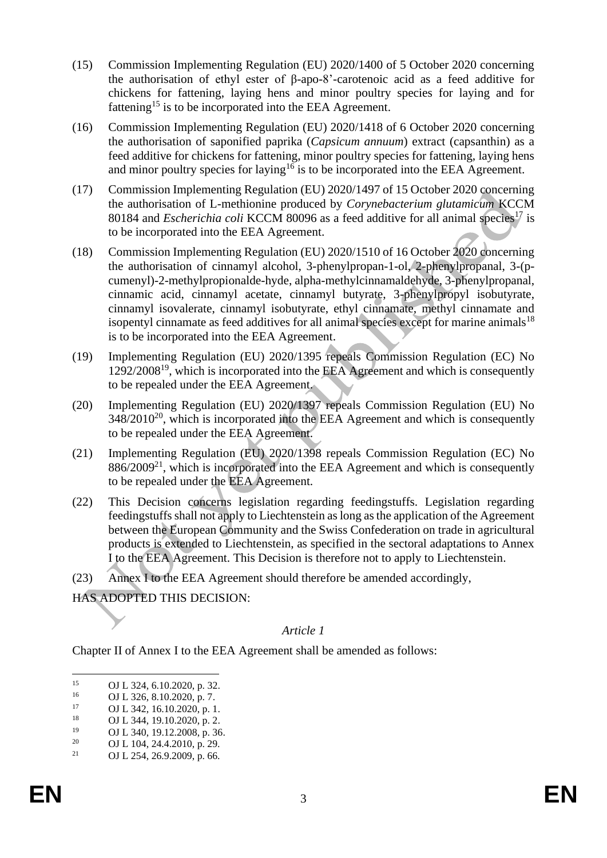- (15) Commission Implementing Regulation (EU) 2020/1400 of 5 October 2020 concerning the authorisation of ethyl ester of β-apo-8'-carotenoic acid as a feed additive for chickens for fattening, laying hens and minor poultry species for laying and for fattening<sup>15</sup> is to be incorporated into the EEA Agreement.
- (16) Commission Implementing Regulation (EU) 2020/1418 of 6 October 2020 concerning the authorisation of saponified paprika (*Capsicum annuum*) extract (capsanthin) as a feed additive for chickens for fattening, minor poultry species for fattening, laying hens and minor poultry species for laying<sup>16</sup> is to be incorporated into the EEA Agreement.
- (17) Commission Implementing Regulation (EU) 2020/1497 of 15 October 2020 concerning the authorisation of L-methionine produced by *Corynebacterium glutamicum* KCCM 80184 and *Escherichia coli* KCCM 80096 as a feed additive for all animal species<sup>17</sup> is to be incorporated into the EEA Agreement.
- (18) Commission Implementing Regulation (EU) 2020/1510 of 16 October 2020 concerning the authorisation of cinnamyl alcohol, 3-phenylpropan-1-ol, 2-phenylpropanal, 3-(pcumenyl)-2-methylpropionalde-hyde, alpha-methylcinnamaldehyde, 3-phenylpropanal, cinnamic acid, cinnamyl acetate, cinnamyl butyrate, 3-phenylpropyl isobutyrate, cinnamyl isovalerate, cinnamyl isobutyrate, ethyl cinnamate, methyl cinnamate and isopentyl cinnamate as feed additives for all animal species except for marine animals<sup>18</sup> is to be incorporated into the EEA Agreement.
- (19) Implementing Regulation (EU) 2020/1395 repeals Commission Regulation (EC) No 1292/2008<sup>19</sup>, which is incorporated into the EEA Agreement and which is consequently to be repealed under the EEA Agreement.
- (20) Implementing Regulation (EU) 2020/1397 repeals Commission Regulation (EU) No  $348/2010^{20}$ , which is incorporated into the EEA Agreement and which is consequently to be repealed under the EEA Agreement.
- (21) Implementing Regulation (EU) 2020/1398 repeals Commission Regulation (EC) No  $886/2009<sup>21</sup>$ , which is incorporated into the EEA Agreement and which is consequently to be repealed under the EEA Agreement.
- (22) This Decision concerns legislation regarding feedingstuffs. Legislation regarding feedingstuffs shall not apply to Liechtenstein as long as the application of the Agreement between the European Community and the Swiss Confederation on trade in agricultural products is extended to Liechtenstein, as specified in the sectoral adaptations to Annex I to the EEA Agreement. This Decision is therefore not to apply to Liechtenstein.
- (23) Annex I to the EEA Agreement should therefore be amended accordingly,

HAS ADOPTED THIS DECISION:

## *Article 1*

Chapter II of Annex I to the EEA Agreement shall be amended as follows:

<sup>&</sup>lt;sup>15</sup> OJ L 324, 6.10.2020, p. 32.<br>011 326 8 10 2020 p. 7

<sup>&</sup>lt;sup>16</sup> OJ L 326, 8.10.2020, p. 7.<br>17 OJ L 342, 16.10.2020, p. 1

 $17$  OJ L 342, 16.10.2020, p. 1.<br>18

<sup>&</sup>lt;sup>18</sup> OJ L 344, 19.10.2020, p. 2.<br>
OJ L 340, 10.12.2008, p. 26

<sup>&</sup>lt;sup>19</sup> OJ L 340, 19.12.2008, p. 36.<br><sup>20</sup> OJ L 104, 24, 4.2010, p. 20.

<sup>&</sup>lt;sup>20</sup> OJ L 104, 24.4.2010, p. 29.<br><sup>21</sup> OJ L 254, 26, 9, 2009, p. 66.

OJ L 254, 26.9.2009, p. 66.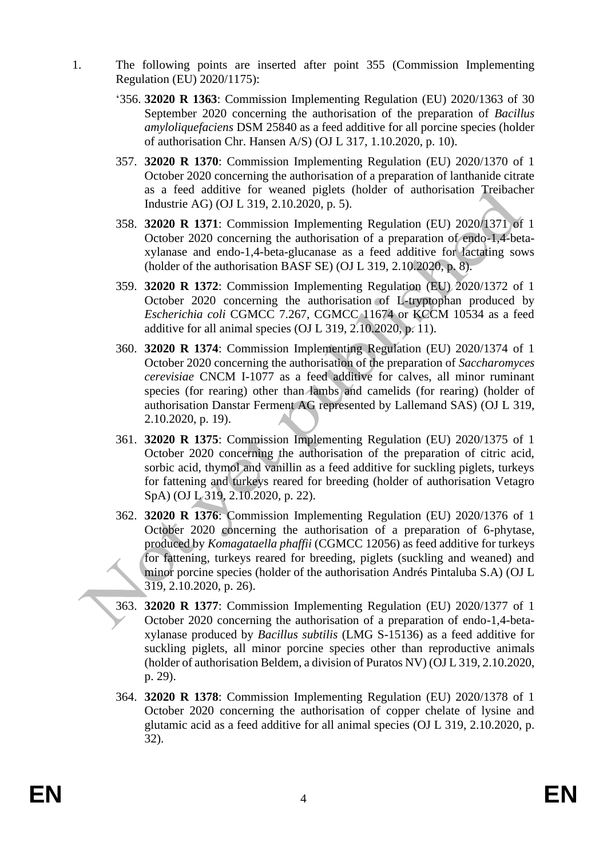- 1. The following points are inserted after point 355 (Commission Implementing Regulation (EU) 2020/1175):
	- '356. **32020 R 1363**: Commission Implementing Regulation (EU) 2020/1363 of 30 September 2020 concerning the authorisation of the preparation of *Bacillus amyloliquefaciens* DSM 25840 as a feed additive for all porcine species (holder of authorisation Chr. Hansen A/S) (OJ L 317, 1.10.2020, p. 10).
	- 357. **32020 R 1370**: Commission Implementing Regulation (EU) 2020/1370 of 1 October 2020 concerning the authorisation of a preparation of lanthanide citrate as a feed additive for weaned piglets (holder of authorisation Treibacher Industrie AG) (OJ L 319, 2.10.2020, p. 5).
	- 358. **32020 R 1371**: Commission Implementing Regulation (EU) 2020/1371 of 1 October 2020 concerning the authorisation of a preparation of endo-1,4-betaxylanase and endo-1,4-beta-glucanase as a feed additive for lactating sows (holder of the authorisation BASF SE) (OJ L 319, 2.10.2020, p. 8).
	- 359. **32020 R 1372**: Commission Implementing Regulation (EU) 2020/1372 of 1 October 2020 concerning the authorisation of L-tryptophan produced by *Escherichia coli* CGMCC 7.267, CGMCC 11674 or KCCM 10534 as a feed additive for all animal species (OJ L 319, 2.10.2020, p. 11).
	- 360. **32020 R 1374**: Commission Implementing Regulation (EU) 2020/1374 of 1 October 2020 concerning the authorisation of the preparation of *Saccharomyces cerevisiae* CNCM I-1077 as a feed additive for calves, all minor ruminant species (for rearing) other than lambs and camelids (for rearing) (holder of authorisation Danstar Ferment AG represented by Lallemand SAS) (OJ L 319, 2.10.2020, p. 19).
	- 361. **32020 R 1375**: Commission Implementing Regulation (EU) 2020/1375 of 1 October 2020 concerning the authorisation of the preparation of citric acid, sorbic acid, thymol and vanillin as a feed additive for suckling piglets, turkeys for fattening and turkeys reared for breeding (holder of authorisation Vetagro SpA) (OJ L 319, 2.10.2020, p. 22).
	- 362. **32020 R 1376**: Commission Implementing Regulation (EU) 2020/1376 of 1 October 2020 concerning the authorisation of a preparation of 6-phytase, produced by *Komagataella phaffii* (CGMCC 12056) as feed additive for turkeys for fattening, turkeys reared for breeding, piglets (suckling and weaned) and minor porcine species (holder of the authorisation Andrés Pintaluba S.A) (OJ L 319, 2.10.2020, p. 26).
	- 363. **32020 R 1377**: Commission Implementing Regulation (EU) 2020/1377 of 1 October 2020 concerning the authorisation of a preparation of endo-1,4-betaxylanase produced by *Bacillus subtilis* (LMG S-15136) as a feed additive for suckling piglets, all minor porcine species other than reproductive animals (holder of authorisation Beldem, a division of Puratos NV) (OJ L 319, 2.10.2020, p. 29).
	- 364. **32020 R 1378**: Commission Implementing Regulation (EU) 2020/1378 of 1 October 2020 concerning the authorisation of copper chelate of lysine and glutamic acid as a feed additive for all animal species (OJ L 319, 2.10.2020, p. 32).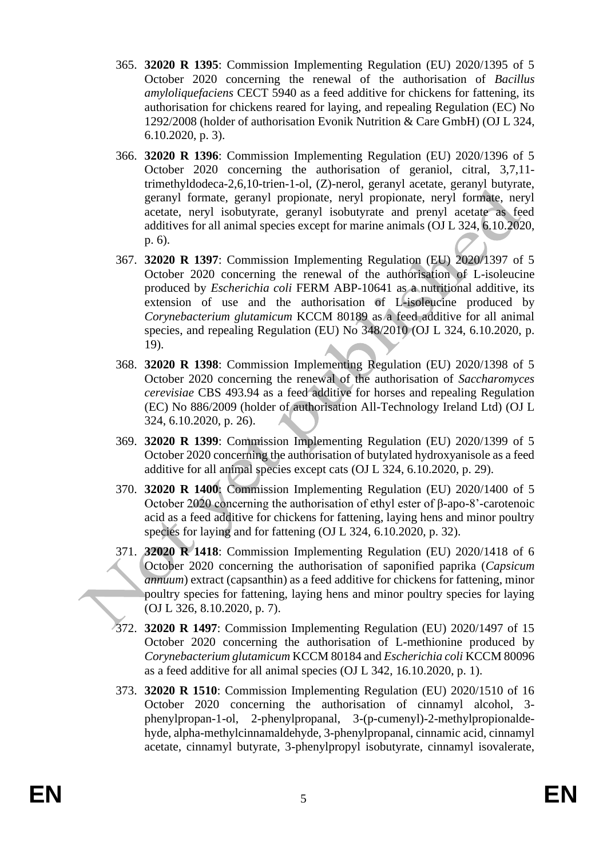- 365. **32020 R 1395**: Commission Implementing Regulation (EU) 2020/1395 of 5 October 2020 concerning the renewal of the authorisation of *Bacillus amyloliquefaciens* CECT 5940 as a feed additive for chickens for fattening, its authorisation for chickens reared for laying, and repealing Regulation (EC) No 1292/2008 (holder of authorisation Evonik Nutrition & Care GmbH) (OJ L 324, 6.10.2020, p. 3).
- 366. **32020 R 1396**: Commission Implementing Regulation (EU) 2020/1396 of 5 October 2020 concerning the authorisation of geraniol, citral, 3,7,11 trimethyldodeca-2,6,10-trien-1-ol, (Z)-nerol, geranyl acetate, geranyl butyrate, geranyl formate, geranyl propionate, neryl propionate, neryl formate, neryl acetate, neryl isobutyrate, geranyl isobutyrate and prenyl acetate as feed additives for all animal species except for marine animals (OJ L 324, 6.10.2020, p. 6).
- 367. **32020 R 1397**: Commission Implementing Regulation (EU) 2020/1397 of 5 October 2020 concerning the renewal of the authorisation of L-isoleucine produced by *Escherichia coli* FERM ABP-10641 as a nutritional additive, its extension of use and the authorisation of L-isoleucine produced by *Corynebacterium glutamicum* KCCM 80189 as a feed additive for all animal species, and repealing Regulation (EU) No 348/2010 (OJ L 324, 6.10.2020, p. 19).
- 368. **32020 R 1398**: Commission Implementing Regulation (EU) 2020/1398 of 5 October 2020 concerning the renewal of the authorisation of *Saccharomyces cerevisiae* CBS 493.94 as a feed additive for horses and repealing Regulation (EC) No 886/2009 (holder of authorisation All-Technology Ireland Ltd) (OJ L 324, 6.10.2020, p. 26).
- 369. **32020 R 1399**: Commission Implementing Regulation (EU) 2020/1399 of 5 October 2020 concerning the authorisation of butylated hydroxyanisole as a feed additive for all animal species except cats (OJ L 324, 6.10.2020, p. 29).
- 370. **32020 R 1400**: Commission Implementing Regulation (EU) 2020/1400 of 5 October 2020 concerning the authorisation of ethyl ester of β-apo-8'-carotenoic acid as a feed additive for chickens for fattening, laying hens and minor poultry species for laying and for fattening (OJ L 324, 6.10.2020, p. 32).
- 371. **32020 R 1418**: Commission Implementing Regulation (EU) 2020/1418 of 6 October 2020 concerning the authorisation of saponified paprika (*Capsicum annuum*) extract (capsanthin) as a feed additive for chickens for fattening, minor poultry species for fattening, laying hens and minor poultry species for laying (OJ L 326, 8.10.2020, p. 7).
- 372. **32020 R 1497**: Commission Implementing Regulation (EU) 2020/1497 of 15 October 2020 concerning the authorisation of L-methionine produced by *Corynebacterium glutamicum* KCCM 80184 and *Escherichia coli* KCCM 80096 as a feed additive for all animal species (OJ L 342, 16.10.2020, p. 1).
- 373. **32020 R 1510**: Commission Implementing Regulation (EU) 2020/1510 of 16 October 2020 concerning the authorisation of cinnamyl alcohol, 3 phenylpropan-1-ol, 2-phenylpropanal, 3-(p-cumenyl)-2-methylpropionaldehyde, alpha-methylcinnamaldehyde, 3-phenylpropanal, cinnamic acid, cinnamyl acetate, cinnamyl butyrate, 3-phenylpropyl isobutyrate, cinnamyl isovalerate,